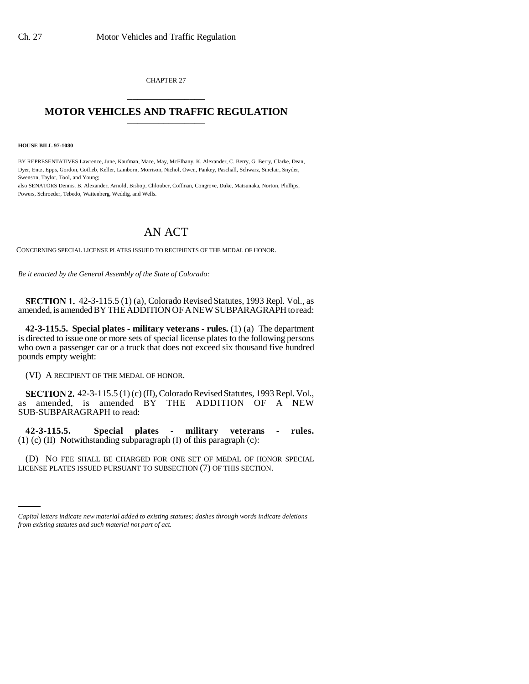CHAPTER 27 \_\_\_\_\_\_\_\_\_\_\_\_\_\_\_

## **MOTOR VEHICLES AND TRAFFIC REGULATION** \_\_\_\_\_\_\_\_\_\_\_\_\_\_\_

**HOUSE BILL 97-1080**

BY REPRESENTATIVES Lawrence, June, Kaufman, Mace, May, McElhany, K. Alexander, C. Berry, G. Berry, Clarke, Dean, Dyer, Entz, Epps, Gordon, Gotlieb, Keller, Lamborn, Morrison, Nichol, Owen, Pankey, Paschall, Schwarz, Sinclair, Snyder, Swenson, Taylor, Tool, and Young;

also SENATORS Dennis, B. Alexander, Arnold, Bishop, Chlouber, Coffman, Congrove, Duke, Matsunaka, Norton, Phillips, Powers, Schroeder, Tebedo, Wattenberg, Weddig, and Wells.

## AN ACT

CONCERNING SPECIAL LICENSE PLATES ISSUED TO RECIPIENTS OF THE MEDAL OF HONOR.

*Be it enacted by the General Assembly of the State of Colorado:*

**SECTION 1.** 42-3-115.5 (1) (a), Colorado Revised Statutes, 1993 Repl. Vol., as amended, is amended BY THE ADDITION OF A NEW SUBPARAGRAPH to read:

**42-3-115.5. Special plates - military veterans - rules.** (1) (a) The department is directed to issue one or more sets of special license plates to the following persons who own a passenger car or a truck that does not exceed six thousand five hundred pounds empty weight:

(VI) A RECIPIENT OF THE MEDAL OF HONOR.

**SECTION 2.** 42-3-115.5 (1) (c) (II), Colorado Revised Statutes, 1993 Repl. Vol., as amended, is amended BY THE ADDITION OF A NEW SUB-SUBPARAGRAPH to read:

**42-3-115.5. Special plates - military veterans - rules.** (1) (c) (II) Notwithstanding subparagraph (I) of this paragraph (c):

(D) NO FEE SHALL BE CHARGED FOR ONE SET OF MEDAL OF HONOR SPECIAL LICENSE PLATES ISSUED PURSUANT TO SUBSECTION (7) OF THIS SECTION.

*Capital letters indicate new material added to existing statutes; dashes through words indicate deletions from existing statutes and such material not part of act.*